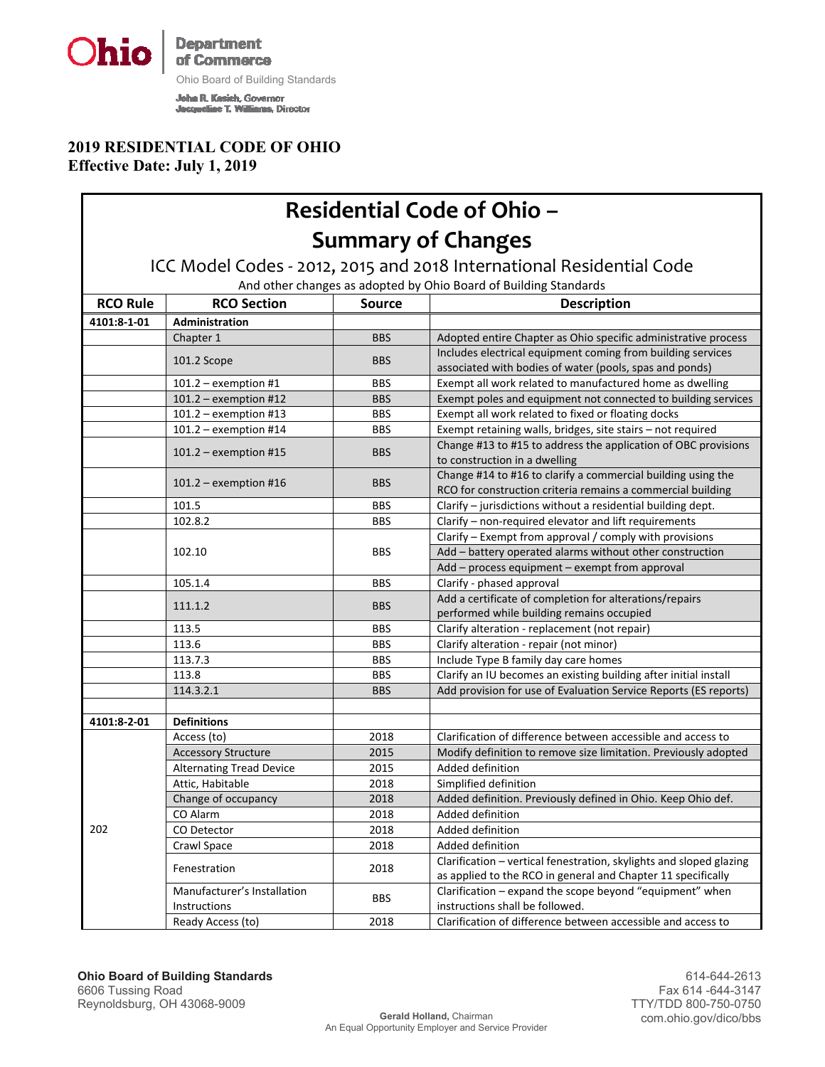**Department Ohio** of Commerce

Г

Ohio Board of Building Standards

**John R. Kesich, Governor<br>Jacqueline T. Williams, Director** 

#### **2019 RESIDENTIAL CODE OF OHIO Effective Date: July 1, 2019**

|                 | <b>Residential Code of Ohio -</b>                                                                                                        |               |                                                                                                                                     |  |  |  |
|-----------------|------------------------------------------------------------------------------------------------------------------------------------------|---------------|-------------------------------------------------------------------------------------------------------------------------------------|--|--|--|
|                 | <b>Summary of Changes</b>                                                                                                                |               |                                                                                                                                     |  |  |  |
|                 |                                                                                                                                          |               |                                                                                                                                     |  |  |  |
|                 | ICC Model Codes - 2012, 2015 and 2018 International Residential Code<br>And other changes as adopted by Ohio Board of Building Standards |               |                                                                                                                                     |  |  |  |
| <b>RCO Rule</b> | <b>RCO Section</b>                                                                                                                       | <b>Source</b> | <b>Description</b>                                                                                                                  |  |  |  |
| 4101:8-1-01     | Administration                                                                                                                           |               |                                                                                                                                     |  |  |  |
|                 | Chapter 1                                                                                                                                | <b>BBS</b>    | Adopted entire Chapter as Ohio specific administrative process                                                                      |  |  |  |
|                 | 101.2 Scope                                                                                                                              | <b>BBS</b>    | Includes electrical equipment coming from building services<br>associated with bodies of water (pools, spas and ponds)              |  |  |  |
|                 | $101.2$ – exemption #1                                                                                                                   | <b>BBS</b>    | Exempt all work related to manufactured home as dwelling                                                                            |  |  |  |
|                 | $101.2$ – exemption #12                                                                                                                  | <b>BBS</b>    | Exempt poles and equipment not connected to building services                                                                       |  |  |  |
|                 | $101.2$ – exemption #13                                                                                                                  | <b>BBS</b>    | Exempt all work related to fixed or floating docks                                                                                  |  |  |  |
|                 | $101.2$ – exemption #14                                                                                                                  | <b>BBS</b>    | Exempt retaining walls, bridges, site stairs - not required                                                                         |  |  |  |
|                 | $101.2$ – exemption #15                                                                                                                  | <b>BBS</b>    | Change #13 to #15 to address the application of OBC provisions<br>to construction in a dwelling                                     |  |  |  |
|                 | $101.2$ – exemption #16                                                                                                                  | <b>BBS</b>    | Change #14 to #16 to clarify a commercial building using the<br>RCO for construction criteria remains a commercial building         |  |  |  |
|                 | 101.5                                                                                                                                    | <b>BBS</b>    | Clarify - jurisdictions without a residential building dept.                                                                        |  |  |  |
|                 | 102.8.2                                                                                                                                  | <b>BBS</b>    | Clarify - non-required elevator and lift requirements                                                                               |  |  |  |
|                 | 102.10                                                                                                                                   | <b>BBS</b>    | Clarify - Exempt from approval / comply with provisions<br>Add - battery operated alarms without other construction                 |  |  |  |
|                 |                                                                                                                                          |               | Add - process equipment - exempt from approval                                                                                      |  |  |  |
|                 | 105.1.4                                                                                                                                  | <b>BBS</b>    | Clarify - phased approval                                                                                                           |  |  |  |
|                 | 111.1.2                                                                                                                                  | <b>BBS</b>    | Add a certificate of completion for alterations/repairs<br>performed while building remains occupied                                |  |  |  |
|                 | 113.5                                                                                                                                    | <b>BBS</b>    | Clarify alteration - replacement (not repair)                                                                                       |  |  |  |
|                 | 113.6                                                                                                                                    | <b>BBS</b>    | Clarify alteration - repair (not minor)                                                                                             |  |  |  |
|                 | 113.7.3                                                                                                                                  | <b>BBS</b>    | Include Type B family day care homes                                                                                                |  |  |  |
|                 | 113.8                                                                                                                                    | <b>BBS</b>    | Clarify an IU becomes an existing building after initial install                                                                    |  |  |  |
|                 | 114.3.2.1                                                                                                                                | <b>BBS</b>    | Add provision for use of Evaluation Service Reports (ES reports)                                                                    |  |  |  |
| 4101:8-2-01     | <b>Definitions</b>                                                                                                                       |               |                                                                                                                                     |  |  |  |
|                 | Access (to)                                                                                                                              | 2018          | Clarification of difference between accessible and access to                                                                        |  |  |  |
|                 | <b>Accessory Structure</b>                                                                                                               | 2015          | Modify definition to remove size limitation. Previously adopted                                                                     |  |  |  |
|                 | <b>Alternating Tread Device</b>                                                                                                          | 2015          | Added definition                                                                                                                    |  |  |  |
| 202             | Attic, Habitable                                                                                                                         | 2018          | Simplified definition                                                                                                               |  |  |  |
|                 | Change of occupancy                                                                                                                      | 2018          | Added definition. Previously defined in Ohio. Keep Ohio def.                                                                        |  |  |  |
|                 | CO Alarm                                                                                                                                 | 2018          | Added definition                                                                                                                    |  |  |  |
|                 | CO Detector                                                                                                                              | 2018          | Added definition                                                                                                                    |  |  |  |
|                 | Crawl Space                                                                                                                              | 2018          | Added definition                                                                                                                    |  |  |  |
|                 | Fenestration                                                                                                                             | 2018          | Clarification - vertical fenestration, skylights and sloped glazing<br>as applied to the RCO in general and Chapter 11 specifically |  |  |  |
|                 | Manufacturer's Installation                                                                                                              |               | Clarification - expand the scope beyond "equipment" when                                                                            |  |  |  |
|                 | Instructions                                                                                                                             | <b>BBS</b>    | instructions shall be followed.                                                                                                     |  |  |  |
|                 | Ready Access (to)                                                                                                                        | 2018          | Clarification of difference between accessible and access to                                                                        |  |  |  |

٦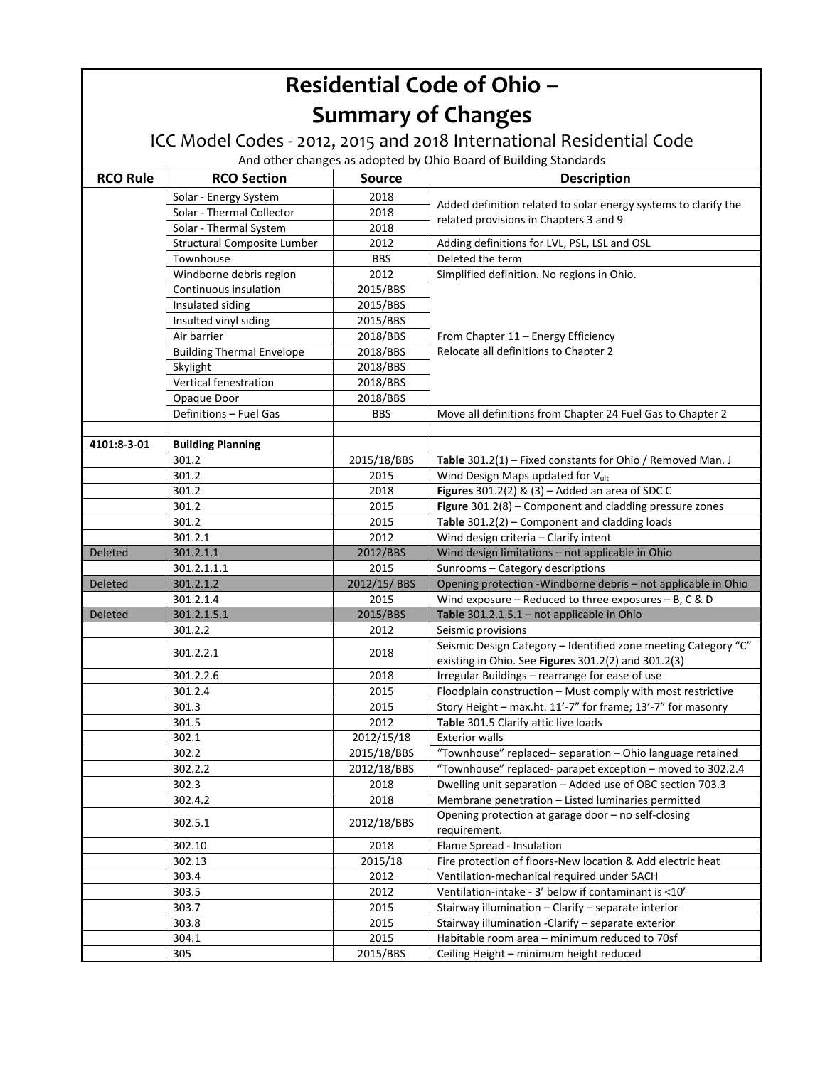| <b>Residential Code of Ohio -</b>                                                                                                        |                                    |               |                                                                                                                |  |  |  |
|------------------------------------------------------------------------------------------------------------------------------------------|------------------------------------|---------------|----------------------------------------------------------------------------------------------------------------|--|--|--|
|                                                                                                                                          | <b>Summary of Changes</b>          |               |                                                                                                                |  |  |  |
| ICC Model Codes - 2012, 2015 and 2018 International Residential Code<br>And other changes as adopted by Ohio Board of Building Standards |                                    |               |                                                                                                                |  |  |  |
|                                                                                                                                          |                                    |               |                                                                                                                |  |  |  |
| <b>RCO Rule</b>                                                                                                                          | <b>RCO Section</b>                 | <b>Source</b> | <b>Description</b>                                                                                             |  |  |  |
|                                                                                                                                          | Solar - Energy System              | 2018          | Added definition related to solar energy systems to clarify the                                                |  |  |  |
|                                                                                                                                          | Solar - Thermal Collector          | 2018          | related provisions in Chapters 3 and 9                                                                         |  |  |  |
|                                                                                                                                          | Solar - Thermal System             | 2018          |                                                                                                                |  |  |  |
|                                                                                                                                          | <b>Structural Composite Lumber</b> | 2012          | Adding definitions for LVL, PSL, LSL and OSL                                                                   |  |  |  |
|                                                                                                                                          | Townhouse                          | <b>BBS</b>    | Deleted the term                                                                                               |  |  |  |
|                                                                                                                                          | Windborne debris region            | 2012          | Simplified definition. No regions in Ohio.                                                                     |  |  |  |
|                                                                                                                                          | Continuous insulation              | 2015/BBS      |                                                                                                                |  |  |  |
|                                                                                                                                          | Insulated siding                   | 2015/BBS      |                                                                                                                |  |  |  |
|                                                                                                                                          | Insulted vinyl siding              | 2015/BBS      |                                                                                                                |  |  |  |
|                                                                                                                                          | Air barrier                        | 2018/BBS      | From Chapter 11 - Energy Efficiency                                                                            |  |  |  |
|                                                                                                                                          | <b>Building Thermal Envelope</b>   | 2018/BBS      | Relocate all definitions to Chapter 2                                                                          |  |  |  |
|                                                                                                                                          | Skylight                           | 2018/BBS      |                                                                                                                |  |  |  |
|                                                                                                                                          | Vertical fenestration              | 2018/BBS      |                                                                                                                |  |  |  |
|                                                                                                                                          | Opaque Door                        | 2018/BBS      |                                                                                                                |  |  |  |
|                                                                                                                                          | Definitions - Fuel Gas             | <b>BBS</b>    | Move all definitions from Chapter 24 Fuel Gas to Chapter 2                                                     |  |  |  |
|                                                                                                                                          |                                    |               |                                                                                                                |  |  |  |
| 4101:8-3-01                                                                                                                              | <b>Building Planning</b>           |               |                                                                                                                |  |  |  |
|                                                                                                                                          | 301.2                              | 2015/18/BBS   | Table 301.2(1) - Fixed constants for Ohio / Removed Man. J                                                     |  |  |  |
|                                                                                                                                          | 301.2                              | 2015          | Wind Design Maps updated for Vult                                                                              |  |  |  |
|                                                                                                                                          | 301.2                              | 2018          | Figures $301.2(2)$ & $(3)$ - Added an area of SDC C                                                            |  |  |  |
|                                                                                                                                          | 301.2                              | 2015          | Figure 301.2(8) - Component and cladding pressure zones                                                        |  |  |  |
|                                                                                                                                          | 301.2                              | 2015          | Table $301.2(2)$ - Component and cladding loads                                                                |  |  |  |
|                                                                                                                                          | 301.2.1                            | 2012          | Wind design criteria - Clarify intent                                                                          |  |  |  |
| <b>Deleted</b>                                                                                                                           | 301.2.1.1                          | 2012/BBS      | Wind design limitations - not applicable in Ohio                                                               |  |  |  |
|                                                                                                                                          | 301.2.1.1.1                        | 2015          | Sunrooms - Category descriptions                                                                               |  |  |  |
| <b>Deleted</b>                                                                                                                           | 301.2.1.2                          | 2012/15/BBS   | Opening protection - Windborne debris - not applicable in Ohio                                                 |  |  |  |
|                                                                                                                                          | 301.2.1.4                          | 2015          | Wind exposure - Reduced to three exposures - B, C & D                                                          |  |  |  |
| <b>Deleted</b>                                                                                                                           | 301.2.1.5.1                        | 2015/BBS      | Table 301.2.1.5.1 - not applicable in Ohio                                                                     |  |  |  |
|                                                                                                                                          | 301.2.2                            | 2012          | Seismic provisions                                                                                             |  |  |  |
|                                                                                                                                          | 301.2.2.1                          | 2018          | Seismic Design Category - Identified zone meeting Category "C"                                                 |  |  |  |
|                                                                                                                                          |                                    |               | existing in Ohio. See Figures 301.2(2) and 301.2(3)                                                            |  |  |  |
|                                                                                                                                          | 301.2.2.6<br>301.2.4               | 2018<br>2015  | Irregular Buildings - rearrange for ease of use<br>Floodplain construction - Must comply with most restrictive |  |  |  |
|                                                                                                                                          | 301.3                              | 2015          | Story Height - max.ht. 11'-7" for frame; 13'-7" for masonry                                                    |  |  |  |
|                                                                                                                                          | 301.5                              | 2012          | Table 301.5 Clarify attic live loads                                                                           |  |  |  |
|                                                                                                                                          | 302.1                              | 2012/15/18    | Exterior walls                                                                                                 |  |  |  |
|                                                                                                                                          | 302.2                              | 2015/18/BBS   | "Townhouse" replaced- separation - Ohio language retained                                                      |  |  |  |
|                                                                                                                                          | 302.2.2                            | 2012/18/BBS   | "Townhouse" replaced- parapet exception - moved to 302.2.4                                                     |  |  |  |
|                                                                                                                                          | 302.3                              | 2018          | Dwelling unit separation - Added use of OBC section 703.3                                                      |  |  |  |
|                                                                                                                                          | 302.4.2                            | 2018          | Membrane penetration - Listed luminaries permitted                                                             |  |  |  |
|                                                                                                                                          |                                    |               | Opening protection at garage door - no self-closing                                                            |  |  |  |
|                                                                                                                                          | 302.5.1                            | 2012/18/BBS   | requirement.                                                                                                   |  |  |  |
|                                                                                                                                          | 302.10                             | 2018          | Flame Spread - Insulation                                                                                      |  |  |  |
|                                                                                                                                          | 302.13                             | 2015/18       | Fire protection of floors-New location & Add electric heat                                                     |  |  |  |
|                                                                                                                                          | 303.4                              | 2012          | Ventilation-mechanical required under 5ACH                                                                     |  |  |  |
|                                                                                                                                          | 303.5                              | 2012          | Ventilation-intake - 3' below if contaminant is <10'                                                           |  |  |  |
|                                                                                                                                          | 303.7                              | 2015          | Stairway illumination - Clarify - separate interior                                                            |  |  |  |
|                                                                                                                                          | 303.8                              | 2015          | Stairway illumination -Clarify - separate exterior                                                             |  |  |  |
|                                                                                                                                          | 304.1                              | 2015          | Habitable room area - minimum reduced to 70sf                                                                  |  |  |  |
|                                                                                                                                          | 305                                | 2015/BBS      | Ceiling Height - minimum height reduced                                                                        |  |  |  |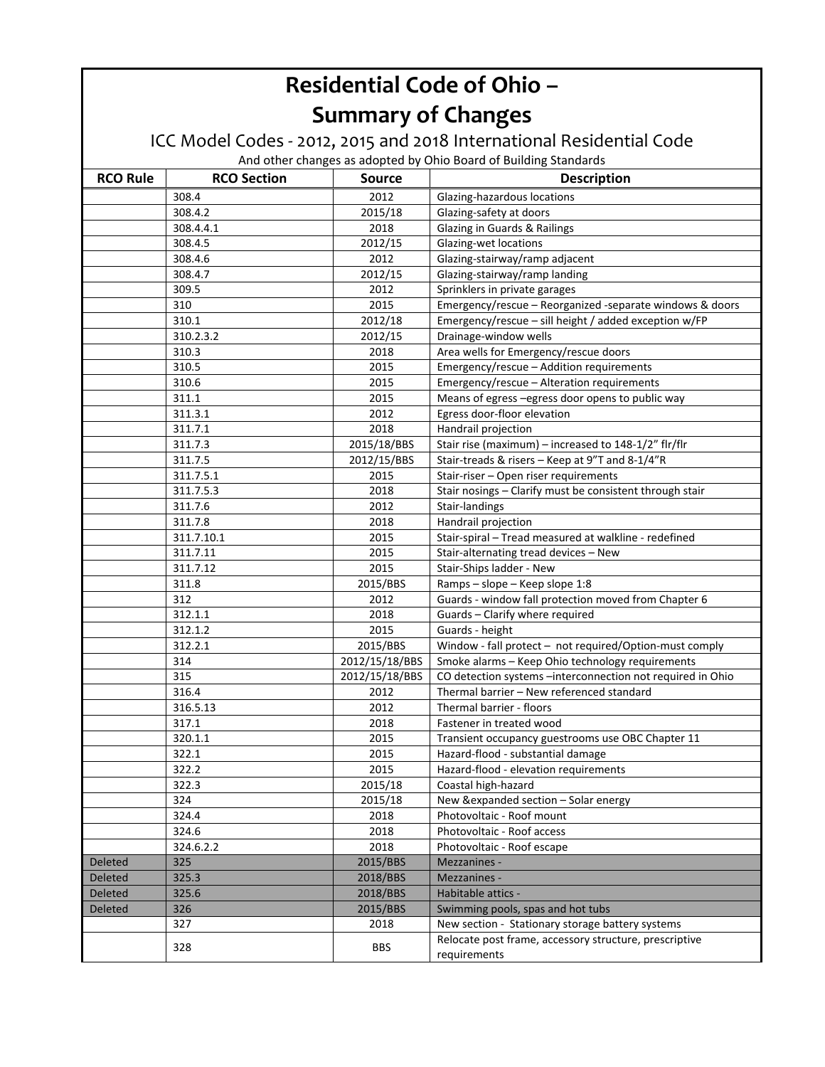#### ICC Model Codes ‐ 2012, 2015 and 2018 International Residential Code

| <b>RCO Rule</b> | <b>RCO Section</b> | <b>Source</b>  | <b>Description</b>                                                     |
|-----------------|--------------------|----------------|------------------------------------------------------------------------|
|                 | 308.4              | 2012           | Glazing-hazardous locations                                            |
|                 | 308.4.2            | 2015/18        | Glazing-safety at doors                                                |
|                 | 308.4.4.1          | 2018           | Glazing in Guards & Railings                                           |
|                 | 308.4.5            | 2012/15        | Glazing-wet locations                                                  |
|                 | 308.4.6            | 2012           | Glazing-stairway/ramp adjacent                                         |
|                 | 308.4.7            | 2012/15        | Glazing-stairway/ramp landing                                          |
|                 | 309.5              | 2012           | Sprinklers in private garages                                          |
|                 | 310                | 2015           | Emergency/rescue - Reorganized -separate windows & doors               |
|                 | 310.1              | 2012/18        | Emergency/rescue - sill height / added exception w/FP                  |
|                 | 310.2.3.2          | 2012/15        | Drainage-window wells                                                  |
|                 | 310.3              | 2018           | Area wells for Emergency/rescue doors                                  |
|                 | 310.5              | 2015           | Emergency/rescue - Addition requirements                               |
|                 | 310.6              | 2015           | Emergency/rescue - Alteration requirements                             |
|                 | 311.1              | 2015           | Means of egress - egress door opens to public way                      |
|                 | 311.3.1            | 2012           | Egress door-floor elevation                                            |
|                 | 311.7.1            | 2018           | Handrail projection                                                    |
|                 | 311.7.3            | 2015/18/BBS    | Stair rise (maximum) - increased to 148-1/2" flr/flr                   |
|                 | 311.7.5            | 2012/15/BBS    | Stair-treads & risers - Keep at 9"T and 8-1/4"R                        |
|                 | 311.7.5.1          | 2015           | Stair-riser - Open riser requirements                                  |
|                 | 311.7.5.3          | 2018           | Stair nosings - Clarify must be consistent through stair               |
|                 | 311.7.6            | 2012           | Stair-landings                                                         |
|                 | 311.7.8            | 2018           | Handrail projection                                                    |
|                 | 311.7.10.1         | 2015           | Stair-spiral - Tread measured at walkline - redefined                  |
|                 | 311.7.11           | 2015           | Stair-alternating tread devices - New                                  |
|                 | 311.7.12           | 2015           | Stair-Ships ladder - New                                               |
|                 | 311.8              | 2015/BBS       | Ramps - slope - Keep slope 1:8                                         |
|                 | 312                | 2012           | Guards - window fall protection moved from Chapter 6                   |
|                 | 312.1.1            | 2018           | Guards - Clarify where required                                        |
|                 | 312.1.2            | 2015           | Guards - height                                                        |
|                 | 312.2.1            | 2015/BBS       | Window - fall protect - not required/Option-must comply                |
|                 | 314                | 2012/15/18/BBS | Smoke alarms - Keep Ohio technology requirements                       |
|                 | 315                | 2012/15/18/BBS | CO detection systems -interconnection not required in Ohio             |
|                 | 316.4              | 2012           | Thermal barrier - New referenced standard                              |
|                 | 316.5.13           | 2012           | Thermal barrier - floors                                               |
|                 | 317.1              | 2018           | Fastener in treated wood                                               |
|                 | 320.1.1            | 2015           | Transient occupancy guestrooms use OBC Chapter 11                      |
|                 | 322.1              | 2015           | Hazard-flood - substantial damage                                      |
|                 | 322.2              | 2015           | Hazard-flood - elevation requirements                                  |
|                 | 322.3              | 2015/18        | Coastal high-hazard                                                    |
|                 | 324                | 2015/18        | New &expanded section - Solar energy                                   |
|                 | 324.4              | 2018           | Photovoltaic - Roof mount                                              |
|                 | 324.6              | 2018           | Photovoltaic - Roof access                                             |
|                 | 324.6.2.2          | 2018           | Photovoltaic - Roof escape                                             |
| Deleted         | 325                | 2015/BBS       | Mezzanines -                                                           |
| Deleted         | 325.3              | 2018/BBS       | Mezzanines -                                                           |
| Deleted         | 325.6              | 2018/BBS       | Habitable attics -                                                     |
| <b>Deleted</b>  | 326                | 2015/BBS       | Swimming pools, spas and hot tubs                                      |
|                 | 327                | 2018           | New section - Stationary storage battery systems                       |
|                 | 328                | <b>BBS</b>     | Relocate post frame, accessory structure, prescriptive<br>requirements |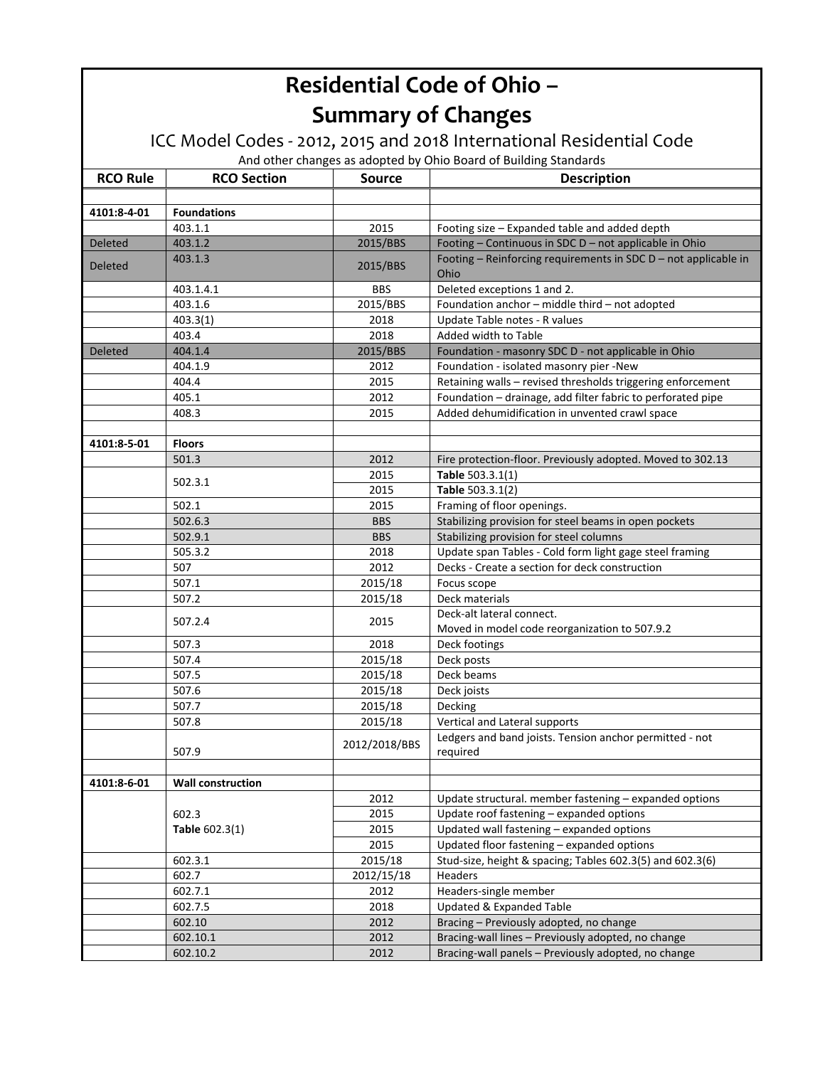#### ICC Model Codes ‐ 2012, 2015 and 2018 International Residential Code

| <b>RCO Rule</b> | <b>RCO Section</b>       | <b>Source</b> | <b>Description</b>                                                      |
|-----------------|--------------------------|---------------|-------------------------------------------------------------------------|
|                 |                          |               |                                                                         |
| 4101:8-4-01     | <b>Foundations</b>       |               |                                                                         |
|                 | 403.1.1                  | 2015          | Footing size - Expanded table and added depth                           |
| Deleted         | 403.1.2                  | 2015/BBS      | Footing - Continuous in SDC D - not applicable in Ohio                  |
| <b>Deleted</b>  | 403.1.3                  | 2015/BBS      | Footing - Reinforcing requirements in SDC D - not applicable in<br>Ohio |
|                 | 403.1.4.1                | <b>BBS</b>    | Deleted exceptions 1 and 2.                                             |
|                 | 403.1.6                  | 2015/BBS      | Foundation anchor - middle third - not adopted                          |
|                 | 403.3(1)                 | 2018          | Update Table notes - R values                                           |
|                 | 403.4                    | 2018          | Added width to Table                                                    |
| <b>Deleted</b>  | 404.1.4                  | 2015/BBS      | Foundation - masonry SDC D - not applicable in Ohio                     |
|                 | 404.1.9                  | 2012          | Foundation - isolated masonry pier -New                                 |
|                 | 404.4                    | 2015          | Retaining walls - revised thresholds triggering enforcement             |
|                 | 405.1                    | 2012          | Foundation - drainage, add filter fabric to perforated pipe             |
|                 | 408.3                    | 2015          | Added dehumidification in unvented crawl space                          |
|                 |                          |               |                                                                         |
| 4101:8-5-01     | <b>Floors</b>            |               |                                                                         |
|                 | 501.3                    | 2012          | Fire protection-floor. Previously adopted. Moved to 302.13              |
|                 |                          | 2015          | Table 503.3.1(1)                                                        |
|                 | 502.3.1                  | 2015          | Table 503.3.1(2)                                                        |
|                 | 502.1                    | 2015          | Framing of floor openings.                                              |
|                 | 502.6.3                  | <b>BBS</b>    | Stabilizing provision for steel beams in open pockets                   |
|                 | 502.9.1                  | <b>BBS</b>    | Stabilizing provision for steel columns                                 |
|                 | 505.3.2                  | 2018          | Update span Tables - Cold form light gage steel framing                 |
|                 | 507                      | 2012          | Decks - Create a section for deck construction                          |
|                 | 507.1                    | 2015/18       | Focus scope                                                             |
|                 | 507.2                    | 2015/18       | Deck materials                                                          |
|                 |                          |               | Deck-alt lateral connect.                                               |
|                 | 507.2.4                  | 2015          | Moved in model code reorganization to 507.9.2                           |
|                 | 507.3                    | 2018          | Deck footings                                                           |
|                 | 507.4                    | 2015/18       | Deck posts                                                              |
|                 | 507.5                    | 2015/18       | Deck beams                                                              |
|                 | 507.6                    | 2015/18       | Deck joists                                                             |
|                 | 507.7                    | 2015/18       | Decking                                                                 |
|                 | 507.8                    | 2015/18       | Vertical and Lateral supports                                           |
|                 | 507.9                    | 2012/2018/BBS | Ledgers and band joists. Tension anchor permitted - not<br>required     |
|                 |                          |               |                                                                         |
| 4101:8-6-01     | <b>Wall construction</b> |               |                                                                         |
|                 |                          | 2012          | Update structural. member fastening - expanded options                  |
|                 | 602.3                    | 2015          | Update roof fastening - expanded options                                |
|                 | Table 602.3(1)           | 2015          | Updated wall fastening - expanded options                               |
|                 |                          | 2015          | Updated floor fastening - expanded options                              |
|                 | 602.3.1                  | 2015/18       | Stud-size, height & spacing; Tables 602.3(5) and 602.3(6)               |
|                 | 602.7                    | 2012/15/18    | Headers                                                                 |
|                 | 602.7.1                  | 2012          | Headers-single member                                                   |
|                 | 602.7.5                  | 2018          | <b>Updated &amp; Expanded Table</b>                                     |
|                 | 602.10                   | 2012          | Bracing - Previously adopted, no change                                 |
|                 | 602.10.1                 | 2012          | Bracing-wall lines - Previously adopted, no change                      |
|                 | 602.10.2                 | 2012          | Bracing-wall panels - Previously adopted, no change                     |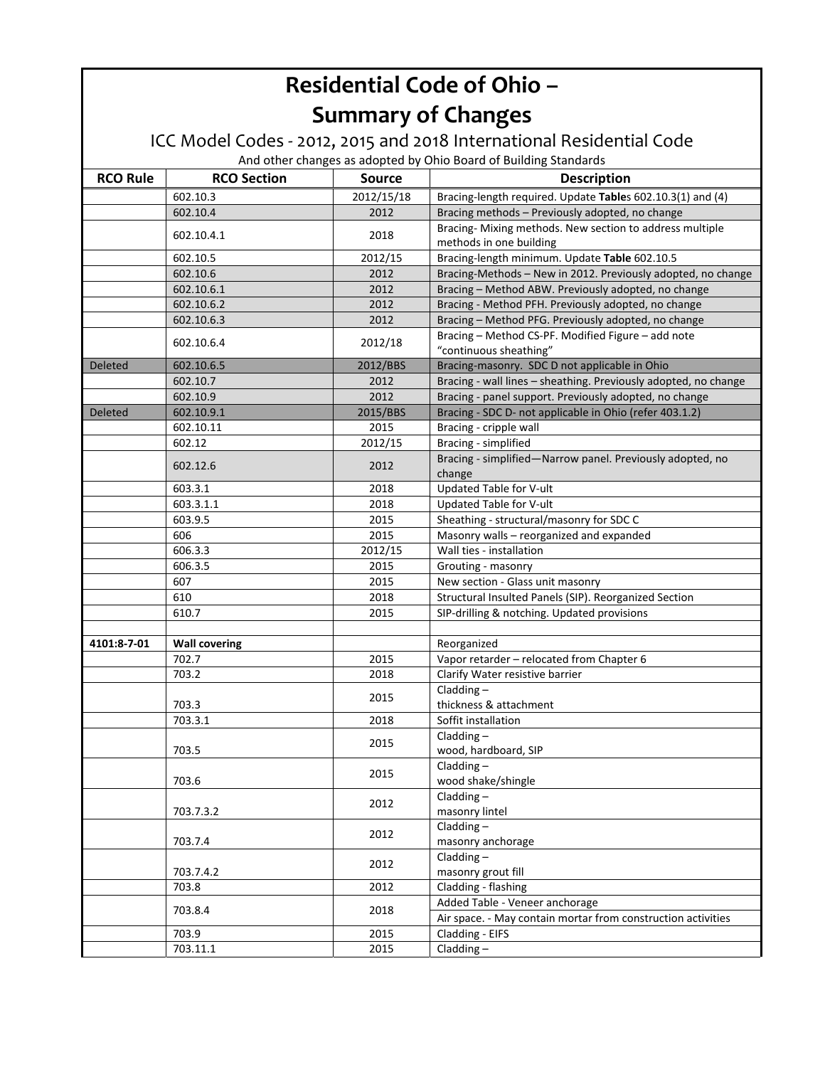#### ICC Model Codes ‐ 2012, 2015 and 2018 International Residential Code

| <b>RCO Rule</b> | <b>RCO Section</b>   | <b>Source</b> | <b>Description</b>                                                           |
|-----------------|----------------------|---------------|------------------------------------------------------------------------------|
|                 | 602.10.3             | 2012/15/18    | Bracing-length required. Update Tables 602.10.3(1) and (4)                   |
|                 | 602.10.4             | 2012          | Bracing methods - Previously adopted, no change                              |
|                 |                      |               | Bracing-Mixing methods. New section to address multiple                      |
|                 | 602.10.4.1           | 2018          | methods in one building                                                      |
|                 | 602.10.5             | 2012/15       | Bracing-length minimum. Update Table 602.10.5                                |
|                 | 602.10.6             | 2012          | Bracing-Methods - New in 2012. Previously adopted, no change                 |
|                 | 602.10.6.1           | 2012          | Bracing - Method ABW. Previously adopted, no change                          |
|                 | 602.10.6.2           | 2012          | Bracing - Method PFH. Previously adopted, no change                          |
|                 | 602.10.6.3           | 2012          | Bracing - Method PFG. Previously adopted, no change                          |
|                 | 602.10.6.4           | 2012/18       | Bracing - Method CS-PF. Modified Figure - add note<br>"continuous sheathing" |
| <b>Deleted</b>  | 602.10.6.5           | 2012/BBS      | Bracing-masonry. SDC D not applicable in Ohio                                |
|                 | 602.10.7             | 2012          | Bracing - wall lines - sheathing. Previously adopted, no change              |
|                 | 602.10.9             | 2012          | Bracing - panel support. Previously adopted, no change                       |
| Deleted         | 602.10.9.1           | 2015/BBS      | Bracing - SDC D- not applicable in Ohio (refer 403.1.2)                      |
|                 | 602.10.11            | 2015          | Bracing - cripple wall                                                       |
|                 | 602.12               | 2012/15       | Bracing - simplified                                                         |
|                 | 602.12.6             | 2012          | Bracing - simplified-Narrow panel. Previously adopted, no<br>change          |
|                 | 603.3.1              | 2018          | Updated Table for V-ult                                                      |
|                 | 603.3.1.1            | 2018          | Updated Table for V-ult                                                      |
|                 | 603.9.5              | 2015          | Sheathing - structural/masonry for SDC C                                     |
|                 | 606                  | 2015          | Masonry walls - reorganized and expanded                                     |
|                 | 606.3.3              | 2012/15       | Wall ties - installation                                                     |
|                 | 606.3.5              | 2015          | Grouting - masonry                                                           |
|                 | 607                  | 2015          | New section - Glass unit masonry                                             |
|                 | 610                  | 2018          | Structural Insulted Panels (SIP). Reorganized Section                        |
|                 | 610.7                | 2015          | SIP-drilling & notching. Updated provisions                                  |
|                 |                      |               |                                                                              |
| 4101:8-7-01     | <b>Wall covering</b> |               | Reorganized                                                                  |
|                 | 702.7                | 2015          | Vapor retarder - relocated from Chapter 6                                    |
|                 | 703.2                | 2018          | Clarify Water resistive barrier                                              |
|                 |                      |               | Cladding $-$                                                                 |
|                 | 703.3                | 2015          | thickness & attachment                                                       |
|                 | 703.3.1              | 2018          | Soffit installation                                                          |
|                 |                      |               | Cladding $-$                                                                 |
|                 | 703.5                | 2015          | wood, hardboard, SIP                                                         |
|                 |                      |               | Cladding $-$                                                                 |
|                 | 703.6                | 2015          | wood shake/shingle                                                           |
|                 |                      |               | Cladding $-$                                                                 |
|                 | 703.7.3.2            | 2012          | masonry lintel                                                               |
|                 |                      |               | $Cladding -$                                                                 |
|                 | 703.7.4              | 2012          | masonry anchorage                                                            |
|                 |                      | 2012          | $Cladding -$                                                                 |
|                 | 703.7.4.2            |               | masonry grout fill                                                           |
|                 | 703.8                | 2012          | Cladding - flashing                                                          |
|                 | 703.8.4              | 2018          | Added Table - Veneer anchorage                                               |
|                 |                      |               | Air space. - May contain mortar from construction activities                 |
|                 | 703.9                | 2015          | Cladding - EIFS                                                              |
|                 | 703.11.1             | 2015          | $Cladding -$                                                                 |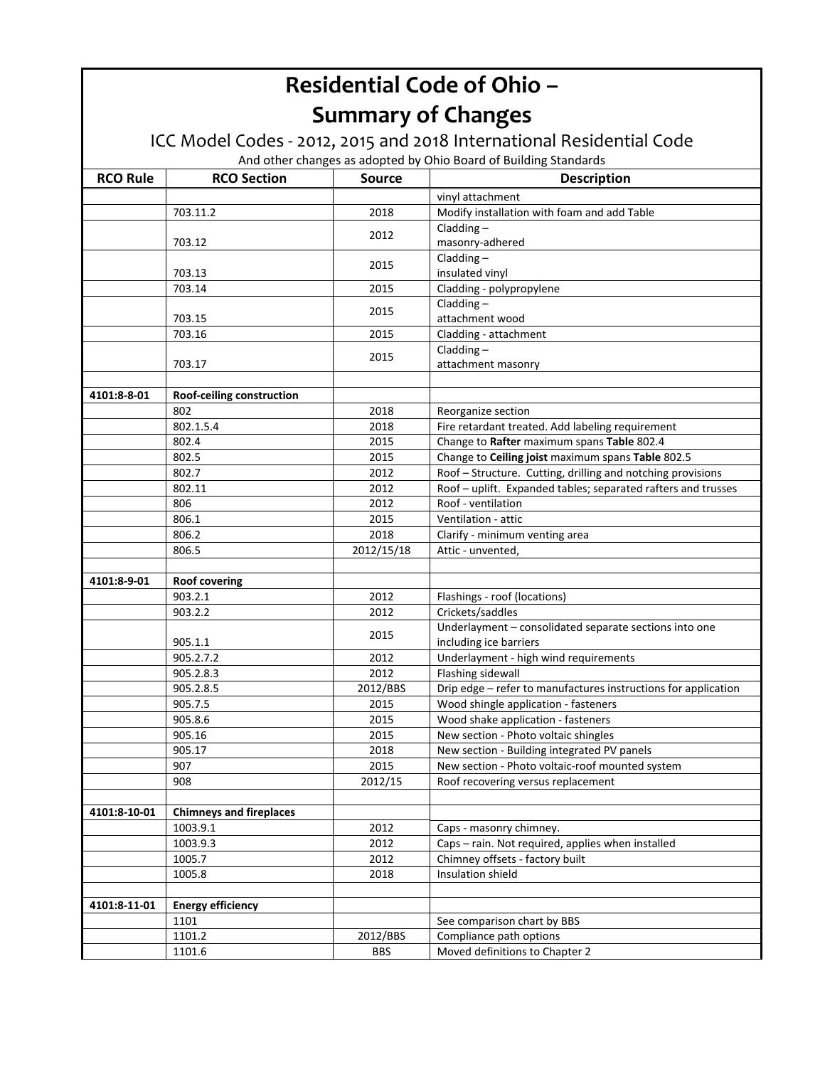#### ICC Model Codes ‐ 2012, 2015 and 2018 International Residential Code

| <b>RCO Rule</b> | <b>RCO Section</b>             | <b>Source</b> | <b>Description</b>                                             |
|-----------------|--------------------------------|---------------|----------------------------------------------------------------|
|                 |                                |               | vinyl attachment                                               |
|                 | 703.11.2                       | 2018          | Modify installation with foam and add Table                    |
|                 |                                |               | Cladding $-$                                                   |
|                 | 703.12                         | 2012          | masonry-adhered                                                |
|                 |                                | 2015          | Cladding $-$                                                   |
|                 | 703.13                         |               | insulated vinyl                                                |
|                 | 703.14                         | 2015          | Cladding - polypropylene                                       |
|                 |                                | 2015          | Cladding $-$                                                   |
|                 | 703.15                         |               | attachment wood                                                |
|                 | 703.16                         | 2015          | Cladding - attachment                                          |
|                 |                                | 2015          | $Cladding -$                                                   |
|                 | 703.17                         |               | attachment masonry                                             |
|                 |                                |               |                                                                |
| 4101:8-8-01     | Roof-ceiling construction      |               |                                                                |
|                 | 802                            | 2018          | Reorganize section                                             |
|                 | 802.1.5.4                      | 2018          | Fire retardant treated. Add labeling requirement               |
|                 | 802.4                          | 2015          | Change to Rafter maximum spans Table 802.4                     |
|                 | 802.5                          | 2015          | Change to Ceiling joist maximum spans Table 802.5              |
|                 | 802.7                          | 2012          | Roof - Structure. Cutting, drilling and notching provisions    |
|                 | 802.11                         | 2012          | Roof - uplift. Expanded tables; separated rafters and trusses  |
|                 | 806                            | 2012          | Roof - ventilation                                             |
|                 | 806.1                          | 2015          | Ventilation - attic                                            |
|                 | 806.2                          | 2018          | Clarify - minimum venting area                                 |
|                 | 806.5                          | 2012/15/18    | Attic - unvented,                                              |
| 4101:8-9-01     | <b>Roof covering</b>           |               |                                                                |
|                 | 903.2.1                        | 2012          | Flashings - roof (locations)                                   |
|                 | 903.2.2                        | 2012          | Crickets/saddles                                               |
|                 |                                |               | Underlayment - consolidated separate sections into one         |
|                 | 905.1.1                        | 2015          | including ice barriers                                         |
|                 | 905.2.7.2                      | 2012          | Underlayment - high wind requirements                          |
|                 | 905.2.8.3                      | 2012          | Flashing sidewall                                              |
|                 | 905.2.8.5                      | 2012/BBS      | Drip edge - refer to manufactures instructions for application |
|                 | 905.7.5                        | 2015          | Wood shingle application - fasteners                           |
|                 | 905.8.6                        | 2015          | Wood shake application - fasteners                             |
|                 | 905.16                         | 2015          | New section - Photo voltaic shingles                           |
|                 | 905.17                         | 2018          | New section - Building integrated PV panels                    |
|                 | 907                            | 2015          | New section - Photo voltaic-roof mounted system                |
|                 | 908                            | 2012/15       | Roof recovering versus replacement                             |
|                 |                                |               |                                                                |
| 4101:8-10-01    | <b>Chimneys and fireplaces</b> |               |                                                                |
|                 | 1003.9.1                       | 2012          | Caps - masonry chimney.                                        |
|                 | 1003.9.3                       | 2012          | Caps - rain. Not required, applies when installed              |
|                 | 1005.7                         | 2012          | Chimney offsets - factory built                                |
|                 | 1005.8                         | 2018          | Insulation shield                                              |
|                 |                                |               |                                                                |
| 4101:8-11-01    | <b>Energy efficiency</b>       |               |                                                                |
|                 | 1101                           |               | See comparison chart by BBS                                    |
|                 | 1101.2                         | 2012/BBS      | Compliance path options                                        |
|                 | 1101.6                         | <b>BBS</b>    | Moved definitions to Chapter 2                                 |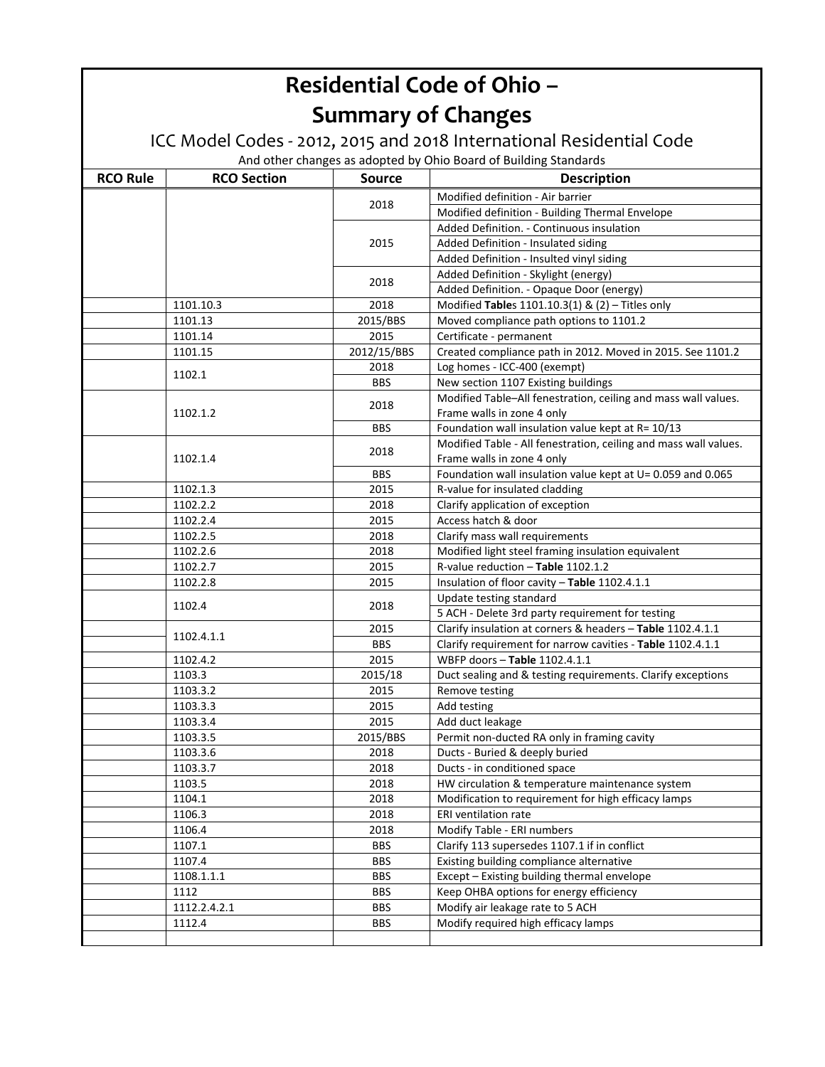#### ICC Model Codes ‐ 2012, 2015 and 2018 International Residential Code

| <b>RCO Rule</b> | <b>RCO Section</b> | <b>Source</b> | <b>Description</b>                                                                           |
|-----------------|--------------------|---------------|----------------------------------------------------------------------------------------------|
|                 |                    |               | Modified definition - Air barrier                                                            |
|                 |                    | 2018          | Modified definition - Building Thermal Envelope                                              |
|                 |                    |               | Added Definition. - Continuous insulation                                                    |
|                 |                    | 2015          | Added Definition - Insulated siding                                                          |
|                 |                    |               | Added Definition - Insulted vinyl siding                                                     |
|                 |                    |               | Added Definition - Skylight (energy)                                                         |
|                 |                    | 2018          | Added Definition. - Opaque Door (energy)                                                     |
|                 | 1101.10.3          | 2018          | Modified Tables 1101.10.3(1) & (2) - Titles only                                             |
|                 | 1101.13            | 2015/BBS      | Moved compliance path options to 1101.2                                                      |
|                 | 1101.14            | 2015          | Certificate - permanent                                                                      |
|                 | 1101.15            | 2012/15/BBS   | Created compliance path in 2012. Moved in 2015. See 1101.2                                   |
|                 | 1102.1             | 2018          | Log homes - ICC-400 (exempt)                                                                 |
|                 |                    | <b>BBS</b>    | New section 1107 Existing buildings                                                          |
|                 | 1102.1.2           | 2018          | Modified Table-All fenestration, ceiling and mass wall values.<br>Frame walls in zone 4 only |
|                 |                    | <b>BBS</b>    | Foundation wall insulation value kept at R= 10/13                                            |
|                 |                    | 2018          | Modified Table - All fenestration, ceiling and mass wall values.                             |
|                 | 1102.1.4           |               | Frame walls in zone 4 only                                                                   |
|                 |                    | <b>BBS</b>    | Foundation wall insulation value kept at U= 0.059 and 0.065                                  |
|                 | 1102.1.3           | 2015          | R-value for insulated cladding                                                               |
|                 | 1102.2.2           | 2018          | Clarify application of exception                                                             |
|                 | 1102.2.4           | 2015          | Access hatch & door                                                                          |
|                 | 1102.2.5           | 2018          | Clarify mass wall requirements                                                               |
|                 | 1102.2.6           | 2018          | Modified light steel framing insulation equivalent                                           |
|                 | 1102.2.7           | 2015          | R-value reduction - Table 1102.1.2                                                           |
|                 | 1102.2.8           | 2015          | Insulation of floor cavity - Table 1102.4.1.1                                                |
|                 | 1102.4             | 2018          | Update testing standard                                                                      |
|                 |                    |               | 5 ACH - Delete 3rd party requirement for testing                                             |
|                 | 1102.4.1.1         | 2015          | Clarify insulation at corners & headers - Table 1102.4.1.1                                   |
|                 |                    | <b>BBS</b>    | Clarify requirement for narrow cavities - Table 1102.4.1.1                                   |
|                 | 1102.4.2           | 2015          | WBFP doors - Table 1102.4.1.1                                                                |
|                 | 1103.3             | 2015/18       | Duct sealing and & testing requirements. Clarify exceptions                                  |
|                 | 1103.3.2           | 2015          | Remove testing                                                                               |
|                 | 1103.3.3           | 2015          | Add testing                                                                                  |
|                 | 1103.3.4           | 2015          | Add duct leakage                                                                             |
|                 | 1103.3.5           | 2015/BBS      | Permit non-ducted RA only in framing cavity                                                  |
|                 | 1103.3.6           | 2018          | Ducts - Buried & deeply buried                                                               |
|                 | 1103.3.7           | 2018          | Ducts - in conditioned space                                                                 |
|                 | 1103.5             | 2018          | HW circulation & temperature maintenance system                                              |
|                 | 1104.1             | 2018          | Modification to requirement for high efficacy lamps                                          |
|                 | 1106.3             | 2018          | ERI ventilation rate                                                                         |
|                 | 1106.4             | 2018          | Modify Table - ERI numbers                                                                   |
|                 | 1107.1             | <b>BBS</b>    | Clarify 113 supersedes 1107.1 if in conflict                                                 |
|                 | 1107.4             | <b>BBS</b>    | Existing building compliance alternative                                                     |
|                 | 1108.1.1.1         | <b>BBS</b>    | Except - Existing building thermal envelope                                                  |
|                 | 1112               | <b>BBS</b>    | Keep OHBA options for energy efficiency                                                      |
|                 | 1112.2.4.2.1       | <b>BBS</b>    | Modify air leakage rate to 5 ACH                                                             |
|                 | 1112.4             | <b>BBS</b>    | Modify required high efficacy lamps                                                          |
|                 |                    |               |                                                                                              |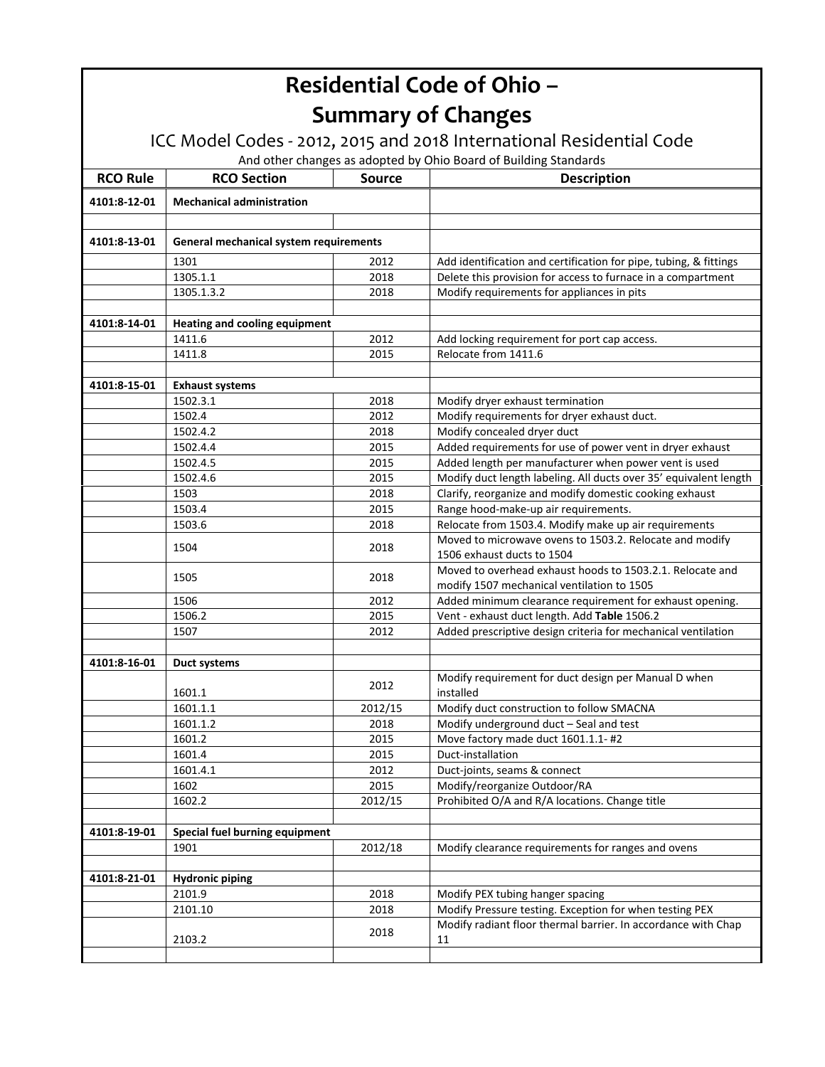ICC Model Codes ‐ 2012, 2015 and 2018 International Residential Code

| <b>RCO Rule</b> | <b>RCO Section</b>                     | <b>Source</b> | <b>Description</b>                                                                                      |
|-----------------|----------------------------------------|---------------|---------------------------------------------------------------------------------------------------------|
| 4101:8-12-01    | <b>Mechanical administration</b>       |               |                                                                                                         |
|                 |                                        |               |                                                                                                         |
| 4101:8-13-01    | General mechanical system requirements |               |                                                                                                         |
|                 | 1301                                   | 2012          | Add identification and certification for pipe, tubing, & fittings                                       |
|                 | 1305.1.1                               | 2018          | Delete this provision for access to furnace in a compartment                                            |
|                 | 1305.1.3.2                             | 2018          | Modify requirements for appliances in pits                                                              |
|                 |                                        |               |                                                                                                         |
| 4101:8-14-01    | <b>Heating and cooling equipment</b>   |               |                                                                                                         |
|                 | 1411.6                                 | 2012          | Add locking requirement for port cap access.                                                            |
|                 | 1411.8                                 | 2015          | Relocate from 1411.6                                                                                    |
|                 |                                        |               |                                                                                                         |
| 4101:8-15-01    | <b>Exhaust systems</b>                 |               |                                                                                                         |
|                 | 1502.3.1                               | 2018          | Modify dryer exhaust termination                                                                        |
|                 | 1502.4                                 | 2012          | Modify requirements for dryer exhaust duct.                                                             |
|                 | 1502.4.2                               | 2018          | Modify concealed dryer duct                                                                             |
|                 | 1502.4.4                               | 2015          | Added requirements for use of power vent in dryer exhaust                                               |
|                 | 1502.4.5                               | 2015          | Added length per manufacturer when power vent is used                                                   |
|                 | 1502.4.6                               | 2015          | Modify duct length labeling. All ducts over 35' equivalent length                                       |
|                 | 1503                                   | 2018          | Clarify, reorganize and modify domestic cooking exhaust                                                 |
|                 | 1503.4                                 | 2015          | Range hood-make-up air requirements.                                                                    |
|                 | 1503.6                                 | 2018          | Relocate from 1503.4. Modify make up air requirements                                                   |
|                 | 1504                                   | 2018          | Moved to microwave ovens to 1503.2. Relocate and modify<br>1506 exhaust ducts to 1504                   |
|                 | 1505                                   | 2018          | Moved to overhead exhaust hoods to 1503.2.1. Relocate and<br>modify 1507 mechanical ventilation to 1505 |
|                 | 1506                                   | 2012          | Added minimum clearance requirement for exhaust opening.                                                |
|                 | 1506.2                                 | 2015          | Vent - exhaust duct length. Add Table 1506.2                                                            |
|                 | 1507                                   | 2012          | Added prescriptive design criteria for mechanical ventilation                                           |
|                 |                                        |               |                                                                                                         |
| 4101:8-16-01    | Duct systems                           |               |                                                                                                         |
|                 | 1601.1                                 | 2012          | Modify requirement for duct design per Manual D when<br>installed                                       |
|                 | 1601.1.1                               | 2012/15       | Modify duct construction to follow SMACNA                                                               |
|                 | 1601.1.2                               | 2018          | Modify underground duct - Seal and test                                                                 |
|                 | 1601.2                                 | 2015          | Move factory made duct 1601.1.1-#2                                                                      |
|                 | 1601.4                                 | 2015          | Duct-installation                                                                                       |
|                 | 1601.4.1                               | 2012          | Duct-joints, seams & connect                                                                            |
|                 | 1602                                   | 2015          | Modify/reorganize Outdoor/RA                                                                            |
|                 | 1602.2                                 | 2012/15       | Prohibited O/A and R/A locations. Change title                                                          |
|                 |                                        |               |                                                                                                         |
| 4101:8-19-01    | Special fuel burning equipment         |               |                                                                                                         |
|                 | 1901                                   | 2012/18       | Modify clearance requirements for ranges and ovens                                                      |
|                 |                                        |               |                                                                                                         |
| 4101:8-21-01    | <b>Hydronic piping</b>                 |               |                                                                                                         |
|                 | 2101.9                                 | 2018          | Modify PEX tubing hanger spacing                                                                        |
|                 | 2101.10                                | 2018          | Modify Pressure testing. Exception for when testing PEX                                                 |
|                 | 2103.2                                 | 2018          | Modify radiant floor thermal barrier. In accordance with Chap<br>11                                     |
|                 |                                        |               |                                                                                                         |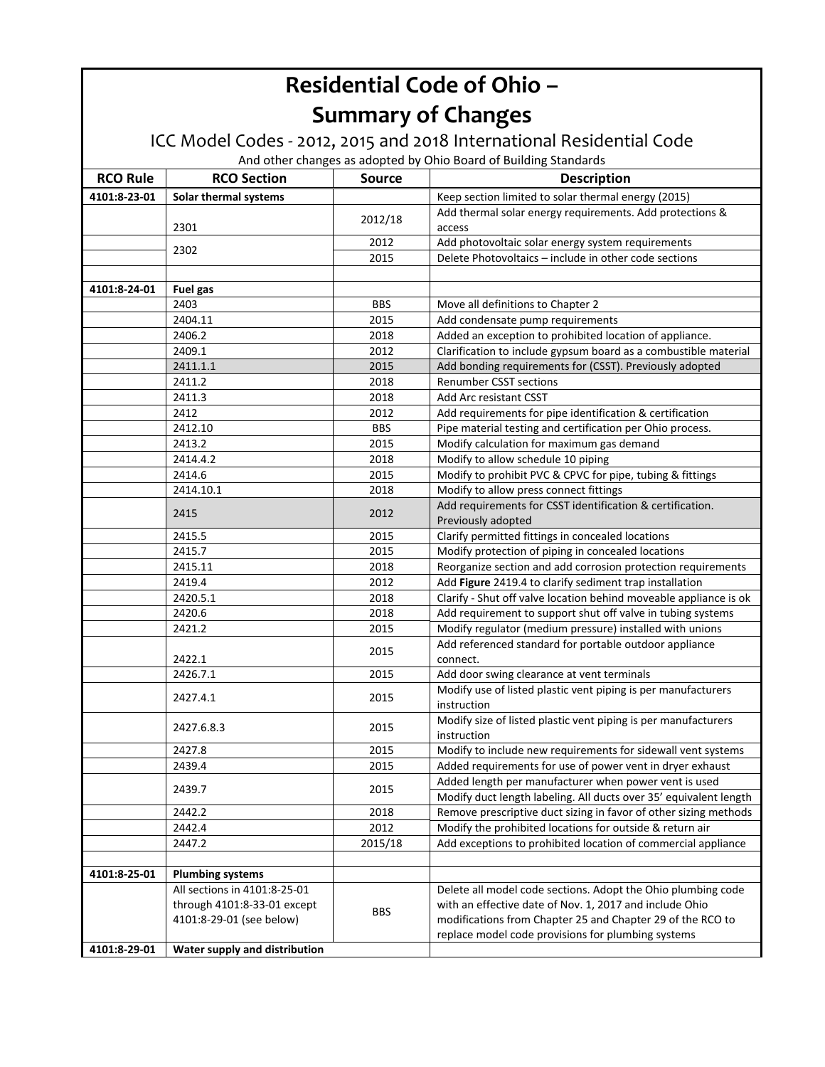#### ICC Model Codes ‐ 2012, 2015 and 2018 International Residential Code

| <b>RCO Rule</b> | <b>RCO Section</b>            | <b>Source</b> | <b>Description</b>                                                              |
|-----------------|-------------------------------|---------------|---------------------------------------------------------------------------------|
| 4101:8-23-01    | Solar thermal systems         |               | Keep section limited to solar thermal energy (2015)                             |
|                 |                               |               | Add thermal solar energy requirements. Add protections &                        |
|                 | 2301                          | 2012/18       | access                                                                          |
|                 | 2302                          | 2012          | Add photovoltaic solar energy system requirements                               |
|                 |                               | 2015          | Delete Photovoltaics - include in other code sections                           |
|                 |                               |               |                                                                                 |
| 4101:8-24-01    | Fuel gas                      |               |                                                                                 |
|                 | 2403                          | <b>BBS</b>    | Move all definitions to Chapter 2                                               |
|                 | 2404.11                       | 2015          | Add condensate pump requirements                                                |
|                 | 2406.2                        | 2018          | Added an exception to prohibited location of appliance.                         |
|                 | 2409.1                        | 2012          | Clarification to include gypsum board as a combustible material                 |
|                 | 2411.1.1                      | 2015          | Add bonding requirements for (CSST). Previously adopted                         |
|                 | 2411.2                        | 2018          | Renumber CSST sections                                                          |
|                 | 2411.3                        | 2018          | Add Arc resistant CSST                                                          |
|                 | 2412                          | 2012          | Add requirements for pipe identification & certification                        |
|                 | 2412.10                       | <b>BBS</b>    | Pipe material testing and certification per Ohio process.                       |
|                 | 2413.2                        | 2015          | Modify calculation for maximum gas demand                                       |
|                 | 2414.4.2                      | 2018          | Modify to allow schedule 10 piping                                              |
|                 | 2414.6                        | 2015          | Modify to prohibit PVC & CPVC for pipe, tubing & fittings                       |
|                 | 2414.10.1                     | 2018          | Modify to allow press connect fittings                                          |
|                 | 2415                          | 2012          | Add requirements for CSST identification & certification.<br>Previously adopted |
|                 | 2415.5                        | 2015          | Clarify permitted fittings in concealed locations                               |
|                 | 2415.7                        | 2015          | Modify protection of piping in concealed locations                              |
|                 | 2415.11                       | 2018          | Reorganize section and add corrosion protection requirements                    |
|                 | 2419.4                        | 2012          | Add Figure 2419.4 to clarify sediment trap installation                         |
|                 | 2420.5.1                      | 2018          | Clarify - Shut off valve location behind moveable appliance is ok               |
|                 | 2420.6                        | 2018          | Add requirement to support shut off valve in tubing systems                     |
|                 | 2421.2                        | 2015          | Modify regulator (medium pressure) installed with unions                        |
|                 | 2422.1                        | 2015          | Add referenced standard for portable outdoor appliance<br>connect.              |
|                 | 2426.7.1                      | 2015          | Add door swing clearance at vent terminals                                      |
|                 | 2427.4.1                      | 2015          | Modify use of listed plastic vent piping is per manufacturers<br>instruction    |
|                 | 2427.6.8.3                    | 2015          | Modify size of listed plastic vent piping is per manufacturers<br>instruction   |
|                 | 2427.8                        | 2015          | Modify to include new requirements for sidewall vent systems                    |
|                 | 2439.4                        | 2015          | Added requirements for use of power vent in dryer exhaust                       |
|                 |                               |               | Added length per manufacturer when power vent is used                           |
|                 | 2439.7                        | 2015          | Modify duct length labeling. All ducts over 35' equivalent length               |
|                 | 2442.2                        | 2018          | Remove prescriptive duct sizing in favor of other sizing methods                |
|                 | 2442.4                        | 2012          | Modify the prohibited locations for outside & return air                        |
|                 | 2447.2                        | 2015/18       | Add exceptions to prohibited location of commercial appliance                   |
|                 |                               |               |                                                                                 |
| 4101:8-25-01    | <b>Plumbing systems</b>       |               |                                                                                 |
|                 | All sections in 4101:8-25-01  |               | Delete all model code sections. Adopt the Ohio plumbing code                    |
|                 | through 4101:8-33-01 except   | <b>BBS</b>    | with an effective date of Nov. 1, 2017 and include Ohio                         |
|                 | 4101:8-29-01 (see below)      |               | modifications from Chapter 25 and Chapter 29 of the RCO to                      |
|                 |                               |               | replace model code provisions for plumbing systems                              |
| 4101:8-29-01    | Water supply and distribution |               |                                                                                 |